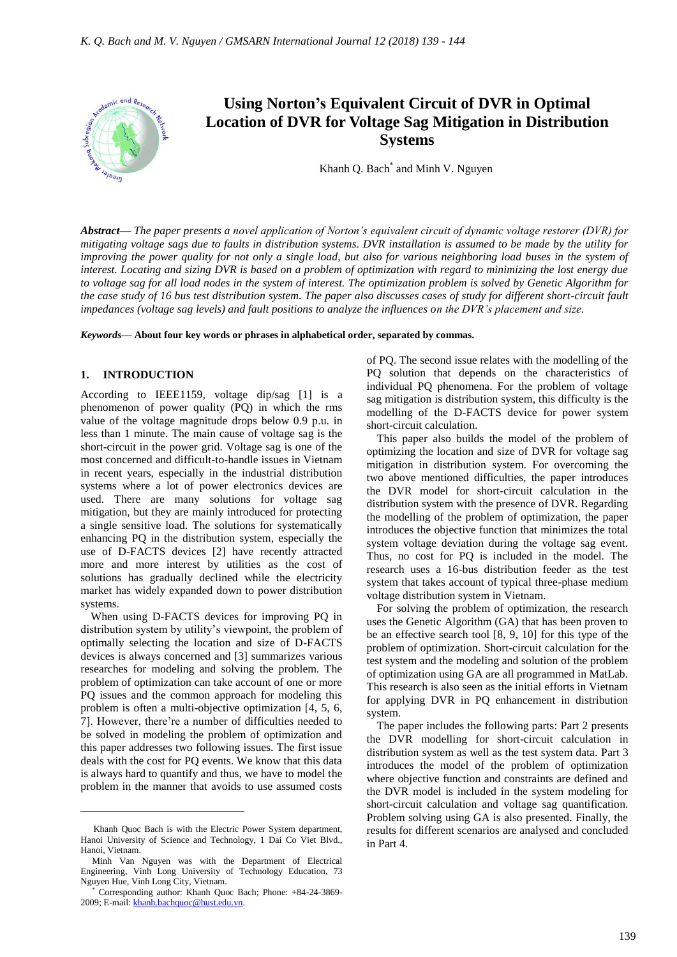

*Abstract***—** *The paper presents a novel application of Norton's equivalent circuit of dynamic voltage restorer (DVR) for mitigating voltage sags due to faults in distribution systems. DVR installation is assumed to be made by the utility for improving the power quality for not only a single load, but also for various neighboring load buses in the system of interest. Locating and sizing DVR is based on a problem of optimization with regard to minimizing the lost energy due to voltage sag for all load nodes in the system of interest. The optimization problem is solved by Genetic Algorithm for the case study of 16 bus test distribution system. The paper also discusses cases of study for different short-circuit fault impedances (voltage sag levels) and fault positions to analyze the influences on the DVR's placement and size.*

*Keywords***— About four key words or phrases in alphabetical order, separated by commas.**

#### **1. INTRODUCTION**

According to IEEE1159, voltage dip/sag [1] is a phenomenon of power quality (PQ) in which the rms value of the voltage magnitude drops below 0.9 p.u. in less than 1 minute. The main cause of voltage sag is the short-circuit in the power grid. Voltage sag is one of the most concerned and difficult-to-handle issues in Vietnam in recent years, especially in the industrial distribution systems where a lot of power electronics devices are used. There are many solutions for voltage sag mitigation, but they are mainly introduced for protecting a single sensitive load. The solutions for systematically enhancing PQ in the distribution system, especially the use of D-FACTS devices [2] have recently attracted more and more interest by utilities as the cost of solutions has gradually declined while the electricity market has widely expanded down to power distribution systems.

When using D-FACTS devices for improving PQ in distribution system by utility's viewpoint, the problem of optimally selecting the location and size of D-FACTS devices is always concerned and [3] summarizes various researches for modeling and solving the problem. The problem of optimization can take account of one or more PQ issues and the common approach for modeling this problem is often a multi-objective optimization [4, 5, 6, 7]. However, there're a number of difficulties needed to be solved in modeling the problem of optimization and this paper addresses two following issues. The first issue deals with the cost for PQ events. We know that this data is always hard to quantify and thus, we have to model the problem in the manner that avoids to use assumed costs

 $\overline{a}$ 

of PQ. The second issue relates with the modelling of the PQ solution that depends on the characteristics of individual PQ phenomena. For the problem of voltage sag mitigation is distribution system, this difficulty is the modelling of the D-FACTS device for power system short-circuit calculation.

This paper also builds the model of the problem of optimizing the location and size of DVR for voltage sag mitigation in distribution system. For overcoming the two above mentioned difficulties, the paper introduces the DVR model for short-circuit calculation in the distribution system with the presence of DVR. Regarding the modelling of the problem of optimization, the paper introduces the objective function that minimizes the total system voltage deviation during the voltage sag event. Thus, no cost for PQ is included in the model. The research uses a 16-bus distribution feeder as the test system that takes account of typical three-phase medium voltage distribution system in Vietnam.

For solving the problem of optimization, the research uses the Genetic Algorithm (GA) that has been proven to be an effective search tool [8, 9, 10] for this type of the problem of optimization. Short-circuit calculation for the test system and the modeling and solution of the problem of optimization using GA are all programmed in MatLab. This research is also seen as the initial efforts in Vietnam for applying DVR in PQ enhancement in distribution system.

The paper includes the following parts: Part 2 presents the DVR modelling for short-circuit calculation in distribution system as well as the test system data. Part 3 introduces the model of the problem of optimization where objective function and constraints are defined and the DVR model is included in the system modeling for short-circuit calculation and voltage sag quantification. Problem solving using GA is also presented. Finally, the results for different scenarios are analysed and concluded in Part 4.

Khanh Quoc Bach is with the Electric Power System department, Hanoi University of Science and Technology, 1 Dai Co Viet Blvd., Hanoi, Vietnam.

Minh Van Nguyen was with the Department of Electrical Engineering, Vinh Long University of Technology Education, 73 Nguyen Hue, Vinh Long City, Vietnam.

Corresponding author: Khanh Quoc Bach; Phone: +84-24-3869-2009; E-mail[: khanh.bachquoc@hust.edu.vn.](mailto:khanh.bachquoc@hust.edu.vn)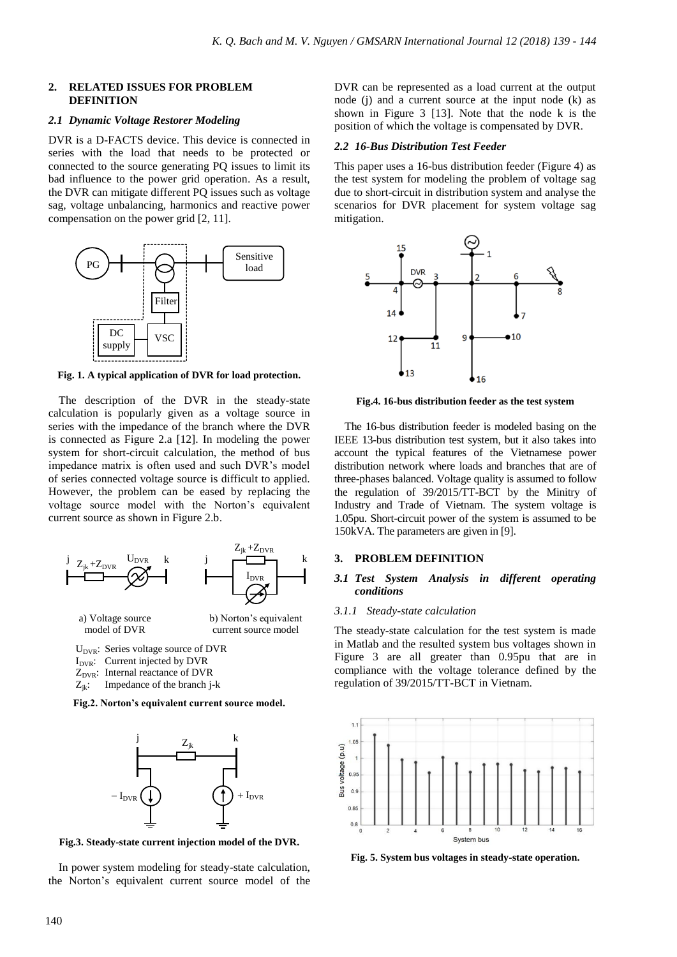# **2. RELATED ISSUES FOR PROBLEM DEFINITION**

# *2.1 Dynamic Voltage Restorer Modeling*

DVR is a D-FACTS device. This device is connected in series with the load that needs to be protected or connected to the source generating PQ issues to limit its bad influence to the power grid operation. As a result, the DVR can mitigate different PQ issues such as voltage sag, voltage unbalancing, harmonics and reactive power compensation on the power grid [2, 11].



**Fig. 1. A typical application of DVR for load protection.**

The description of the DVR in the steady-state calculation is popularly given as a voltage source in series with the impedance of the branch where the DVR is connected as Figure 2.a [12]. In modeling the power system for short-circuit calculation, the method of bus impedance matrix is often used and such DVR's model of series connected voltage source is difficult to applied. However, the problem can be eased by replacing the voltage source model with the Norton's equivalent current source as shown in Figure 2.b.



 $U_{DVR}$ : Series voltage source of DVR

 $I_{DVR}$ : Current injected by DVR

 $Z_{DVR}$ : Internal reactance of DVR

 $Z_{ik}$ : Impedance of the branch j-k

**Fig.2. Norton's equivalent current source model.**



**Fig.3. Steady-state current injection model of the DVR.**

In power system modeling for steady-state calculation, the Norton's equivalent current source model of the DVR can be represented as a load current at the output node (j) and a current source at the input node (k) as shown in Figure 3 [13]. Note that the node k is the position of which the voltage is compensated by DVR.

# *2.2 16-Bus Distribution Test Feeder*

This paper uses a 16-bus distribution feeder (Figure 4) as the test system for modeling the problem of voltage sag due to short-circuit in distribution system and analyse the scenarios for DVR placement for system voltage sag mitigation.



**Fig.4. 16-bus distribution feeder as the test system**

The 16-bus distribution feeder is modeled basing on the IEEE 13-bus distribution test system, but it also takes into account the typical features of the Vietnamese power distribution network where loads and branches that are of three-phases balanced. Voltage quality is assumed to follow the regulation of 39/2015/TT-BCT by the Minitry of Industry and Trade of Vietnam. The system voltage is 1.05pu. Short-circuit power of the system is assumed to be 150kVA. The parameters are given in [9].

# **3. PROBLEM DEFINITION**

# *3.1 Test System Analysis in different operating conditions*

#### *3.1.1 Steady-state calculation*

The steady-state calculation for the test system is made in Matlab and the resulted system bus voltages shown in Figure 3 are all greater than 0.95pu that are in compliance with the voltage tolerance defined by the regulation of 39/2015/TT-BCT in Vietnam.



**Fig. 5. System bus voltages in steady-state operation.**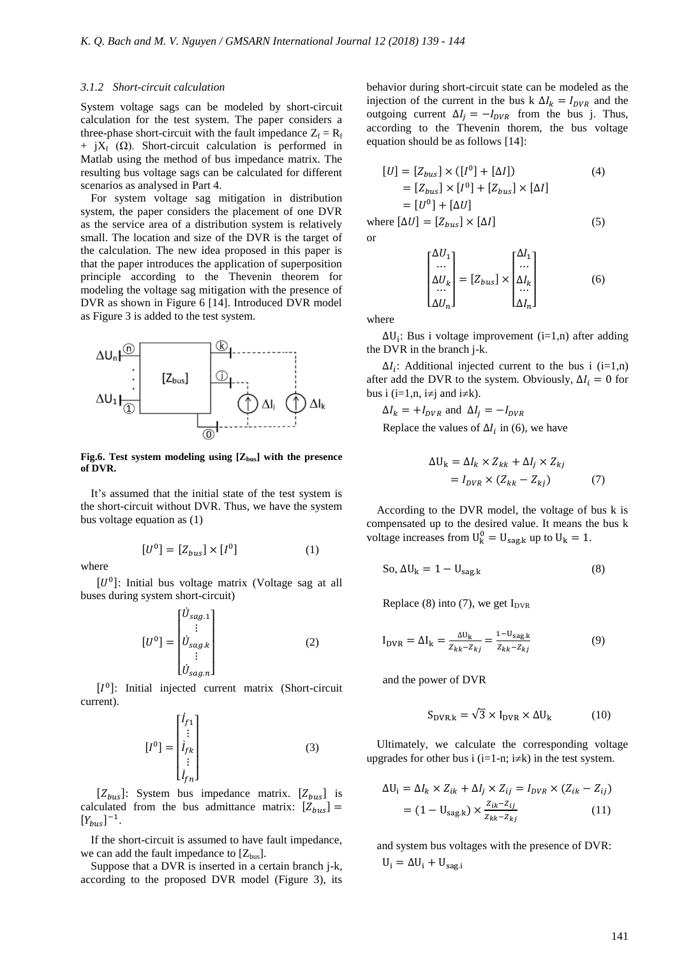### *3.1.2 Short-circuit calculation*

System voltage sags can be modeled by short-circuit calculation for the test system. The paper considers a three-phase short-circuit with the fault impedance  $Z_f = R_f$  $+ iX_f$  (Ω). Short-circuit calculation is performed in Matlab using the method of bus impedance matrix. The resulting bus voltage sags can be calculated for different scenarios as analysed in Part 4.

For system voltage sag mitigation in distribution system, the paper considers the placement of one DVR as the service area of a distribution system is relatively small. The location and size of the DVR is the target of the calculation. The new idea proposed in this paper is that the paper introduces the application of superposition principle according to the Thevenin theorem for modeling the voltage sag mitigation with the presence of DVR as shown in Figure 6 [14]. Introduced DVR model as Figure 3 is added to the test system.



**Fig.6. Test system modeling using [Zbus] with the presence of DVR.**

It's assumed that the initial state of the test system is the short-circuit without DVR. Thus, we have the system bus voltage equation as (1)

$$
[U0] = [Zbus] \times [I0] \tag{1}
$$

where

 $[U^0]$ : Initial bus voltage matrix (Voltage sag at all buses during system short-circuit)

$$
[U0] = \begin{bmatrix} \dot{U}_{sag.1} \\ \vdots \\ \dot{U}_{sag.1} \\ \vdots \\ \dot{U}_{sag.1} \end{bmatrix}
$$
 (2)

[ $I^0$ ]: Initial injected current matrix (Short-circuit current).

$$
\begin{bmatrix} I^0 \end{bmatrix} = \begin{bmatrix} \dot{I}_{f1} \\ \vdots \\ \dot{I}_{fk} \\ \vdots \\ \dot{I}_{fn} \end{bmatrix} \tag{3}
$$

 $[Z_{bus}]$ : System bus impedance matrix.  $[Z_{bus}]$  is calculated from the bus admittance matrix:  $[Z_{bus}]$  =  $[Y_{bus}]^{-1}$ .

If the short-circuit is assumed to have fault impedance, we can add the fault impedance to  $[Z_{bus}]$ .

Suppose that a DVR is inserted in a certain branch j-k, according to the proposed DVR model (Figure 3), its behavior during short-circuit state can be modeled as the injection of the current in the bus k  $\Delta I_k = I_{DVR}$  and the outgoing current  $\Delta I_j = -I_{DVR}$  from the bus j. Thus, according to the Thevenin thorem, the bus voltage equation should be as follows [14]:

$$
[U] = [Z_{bus}] \times ([I0] + [\Delta I])
$$
(4)  
= [Z<sub>bus</sub>] \times [I<sup>0</sup>] + [Z<sub>bus</sub>] \times [\Delta I]  
= [U<sup>0</sup>] + [\Delta U]  
where [ $\Delta U$ ] = [Z<sub>bus</sub>] \times [\Delta I] (5)

$$
\begin{bmatrix}\n\Delta U_1 \\
\cdots \\
\Delta U_k \\
\cdots \\
\Delta U_n\n\end{bmatrix} = [Z_{bus}] \times \begin{bmatrix}\n\Delta I_1 \\
\cdots \\
\Delta I_k \\
\Delta I_n\n\end{bmatrix}
$$
\n(6)

where

or

 $\Delta U_i$ : Bus i voltage improvement (i=1,n) after adding the DVR in the branch j-k.

 $\Delta I_i$ : Additional injected current to the bus i (i=1,n) after add the DVR to the system. Obviously,  $\Delta I_i = 0$  for bus i (i=1,n, i $\neq$ j and i $\neq$ k).

 $\Delta I_k = +I_{DVR}$  and  $\Delta I_i = -I_{DVR}$ 

Replace the values of  $\Delta l_i$  in (6), we have

$$
\Delta U_k = \Delta I_k \times Z_{kk} + \Delta I_j \times Z_{kj}
$$
  
=  $I_{DVR} \times (Z_{kk} - Z_{kj})$  (7)

According to the DVR model, the voltage of bus k is compensated up to the desired value. It means the bus k voltage increases from  $U_k^0 = U_{\text{sag},k}$  up to  $U_k = 1$ .

So, 
$$
\Delta U_k = 1 - U_{\text{sag,k}}
$$
 (8)

Replace (8) into (7), we get  $I_{DVR}$ 

$$
I_{\text{DVR}} = \Delta I_{k} = \frac{\Delta U_{k}}{Z_{kk} - Z_{kj}} = \frac{1 - U_{\text{sag}k}}{Z_{kk} - Z_{kj}}
$$
(9)

and the power of DVR

$$
S_{\text{DVR.k}} = \sqrt{3} \times I_{\text{DVR}} \times \Delta U_{\text{k}} \tag{10}
$$

Ultimately, we calculate the corresponding voltage upgrades for other bus i (i=1-n; i $\neq$ k) in the test system.

$$
\Delta U_i = \Delta I_k \times Z_{ik} + \Delta I_j \times Z_{ij} = I_{DVR} \times (Z_{ik} - Z_{ij})
$$

$$
= (1 - U_{\text{sag,k}}) \times \frac{Z_{ik} - Z_{ij}}{Z_{kk} - Z_{kj}} \tag{11}
$$

and system bus voltages with the presence of DVR:  $U_i = \Delta U_i + U_{sagi}$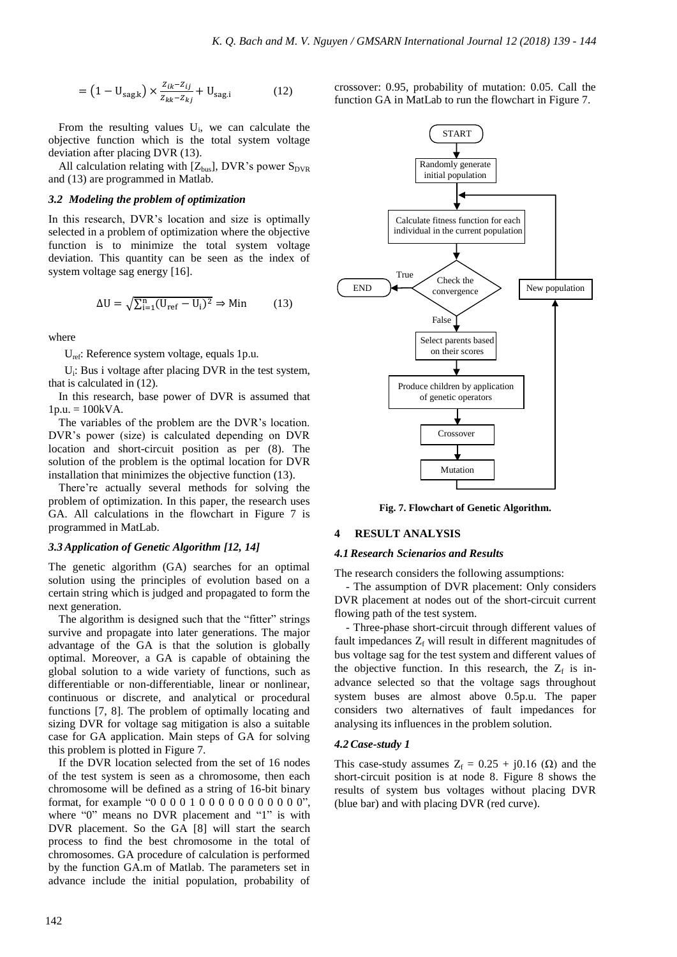$$
= (1 - U_{\text{sag.k}}) \times \frac{z_{ik} - z_{ij}}{z_{kk} - z_{kj}} + U_{\text{sag.i}} \tag{12}
$$

From the resulting values  $U_i$ , we can calculate the objective function which is the total system voltage deviation after placing DVR (13).

All calculation relating with  $[Z_{bus}]$ , DVR's power  $S_{DVR}$ and (13) are programmed in Matlab.

### *3.2 Modeling the problem of optimization*

In this research, DVR's location and size is optimally selected in a problem of optimization where the objective function is to minimize the total system voltage deviation. This quantity can be seen as the index of system voltage sag energy [16].

$$
\Delta U = \sqrt{\sum_{i=1}^{n} (U_{ref} - U_i)^2} \Rightarrow \text{Min} \tag{13}
$$

where

Uref: Reference system voltage, equals 1p.u.

U<sub>i</sub>: Bus i voltage after placing DVR in the test system, that is calculated in (12).

In this research, base power of DVR is assumed that  $1p.u. = 100kVA.$ 

The variables of the problem are the DVR's location. DVR's power (size) is calculated depending on DVR location and short-circuit position as per (8). The solution of the problem is the optimal location for DVR installation that minimizes the objective function (13).

There're actually several methods for solving the problem of optimization. In this paper, the research uses GA. All calculations in the flowchart in Figure 7 is programmed in MatLab.

#### *3.3 Application of Genetic Algorithm [12, 14]*

The genetic algorithm (GA) searches for an optimal solution using the principles of evolution based on a certain string which is judged and propagated to form the next generation.

The algorithm is designed such that the "fitter" strings survive and propagate into later generations. The major advantage of the GA is that the solution is globally optimal. Moreover, a GA is capable of obtaining the global solution to a wide variety of functions, such as differentiable or non-differentiable, linear or nonlinear, continuous or discrete, and analytical or procedural functions [7, 8]. The problem of optimally locating and sizing DVR for voltage sag mitigation is also a suitable case for GA application. Main steps of GA for solving this problem is plotted in Figure 7.

If the DVR location selected from the set of 16 nodes of the test system is seen as a chromosome, then each chromosome will be defined as a string of 16-bit binary format, for example "0 0 0 0 1 0 0 0 0 0 0 0 0 0 0 0", where "0" means no DVR placement and "1" is with DVR placement. So the GA [8] will start the search process to find the best chromosome in the total of chromosomes. GA procedure of calculation is performed by the function GA.m of Matlab. The parameters set in advance include the initial population, probability of crossover: 0.95, probability of mutation: 0.05. Call the function GA in MatLab to run the flowchart in Figure 7.



**Fig. 7. Flowchart of Genetic Algorithm.**

# **4 RESULT ANALYSIS**

### *4.1Research Scienarios and Results*

The research considers the following assumptions:

- The assumption of DVR placement: Only considers DVR placement at nodes out of the short-circuit current flowing path of the test system.

- Three-phase short-circuit through different values of fault impedances  $Z_f$  will result in different magnitudes of bus voltage sag for the test system and different values of the objective function. In this research, the  $Z_f$  is inadvance selected so that the voltage sags throughout system buses are almost above 0.5p.u. The paper considers two alternatives of fault impedances for analysing its influences in the problem solution.

### *4.2Case-study 1*

This case-study assumes  $Z_f = 0.25 + j0.16$  ( $\Omega$ ) and the short-circuit position is at node 8. Figure 8 shows the results of system bus voltages without placing DVR (blue bar) and with placing DVR (red curve).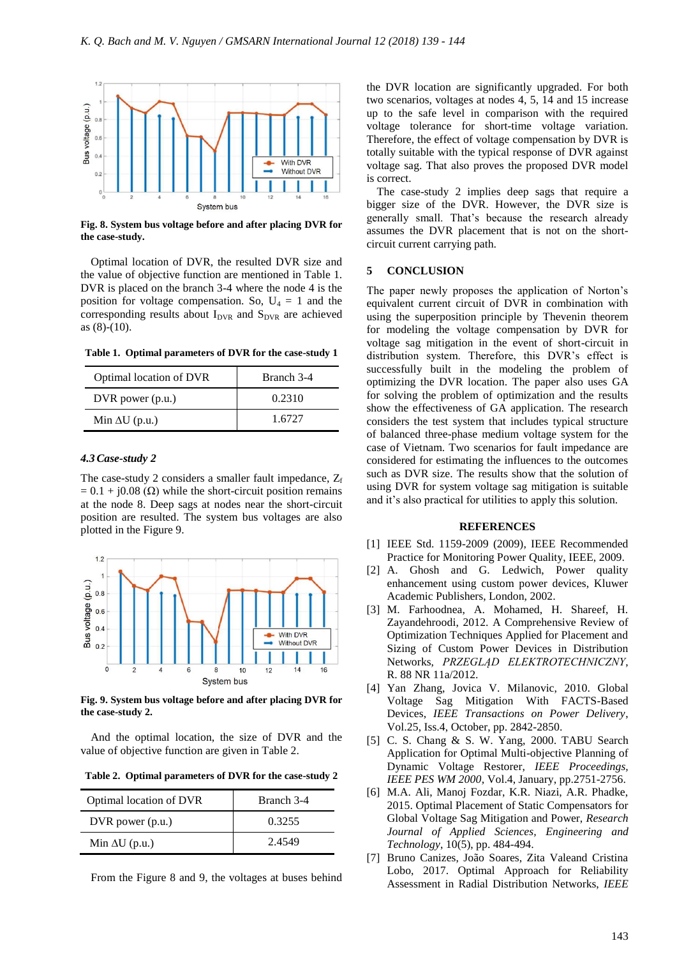

**Fig. 8. System bus voltage before and after placing DVR for the case-study.**

Optimal location of DVR, the resulted DVR size and the value of objective function are mentioned in Table 1. DVR is placed on the branch 3-4 where the node 4 is the position for voltage compensation. So,  $U_4 = 1$  and the corresponding results about  $I_{DVR}$  and  $S_{DVR}$  are achieved as (8)-(10).

**Table 1. Optimal parameters of DVR for the case-study 1**

| Optimal location of DVR | Branch 3-4 |
|-------------------------|------------|
| $DVR$ power $(p.u.)$    | 0.2310     |
| Min $\Delta U$ (p.u.)   | 1.6727     |

### *4.3Case-study 2*

The case-study 2 considers a smaller fault impedance,  $Z_f$  $= 0.1 + i0.08$  ( $\Omega$ ) while the short-circuit position remains at the node 8. Deep sags at nodes near the short-circuit position are resulted. The system bus voltages are also plotted in the Figure 9.



**Fig. 9. System bus voltage before and after placing DVR for the case-study 2.**

And the optimal location, the size of DVR and the value of objective function are given in Table 2.

**Table 2. Optimal parameters of DVR for the case-study 2**

| Optimal location of DVR | Branch 3-4 |  |  |
|-------------------------|------------|--|--|
| $DVR$ power $(p.u.)$    | 0.3255     |  |  |
| Min $\Delta U$ (p.u.)   | 2.4549     |  |  |

From the Figure 8 and 9, the voltages at buses behind

the DVR location are significantly upgraded. For both two scenarios, voltages at nodes 4, 5, 14 and 15 increase up to the safe level in comparison with the required voltage tolerance for short-time voltage variation. Therefore, the effect of voltage compensation by DVR is totally suitable with the typical response of DVR against voltage sag. That also proves the proposed DVR model is correct.

The case-study 2 implies deep sags that require a bigger size of the DVR. However, the DVR size is generally small. That's because the research already assumes the DVR placement that is not on the shortcircuit current carrying path.

### **5 CONCLUSION**

The paper newly proposes the application of Norton's equivalent current circuit of DVR in combination with using the superposition principle by Thevenin theorem for modeling the voltage compensation by DVR for voltage sag mitigation in the event of short-circuit in distribution system. Therefore, this DVR's effect is successfully built in the modeling the problem of optimizing the DVR location. The paper also uses GA for solving the problem of optimization and the results show the effectiveness of GA application. The research considers the test system that includes typical structure of balanced three-phase medium voltage system for the case of Vietnam. Two scenarios for fault impedance are considered for estimating the influences to the outcomes such as DVR size. The results show that the solution of using DVR for system voltage sag mitigation is suitable and it's also practical for utilities to apply this solution.

# **REFERENCES**

- [1] IEEE Std. 1159-2009 (2009), IEEE Recommended Practice for Monitoring Power Quality, IEEE, 2009.
- [2] A. Ghosh and G. Ledwich, Power quality enhancement using custom power devices, Kluwer Academic Publishers, London, 2002.
- [3] M. Farhoodnea, A. Mohamed, H. Shareef, H. Zayandehroodi, 2012. A Comprehensive Review of Optimization Techniques Applied for Placement and Sizing of Custom Power Devices in Distribution Networks, *PRZEGLĄD ELEKTROTECHNICZNY*, R. 88 NR 11a/2012.
- [4] Yan Zhang, Jovica V. Milanovic, 2010. Global Voltage Sag Mitigation With FACTS-Based Devices, *IEEE Transactions on Power Delivery*, Vol.25, Iss.4, October, pp. 2842-2850.
- [5] C. S. Chang & S. W. Yang, 2000. TABU Search Application for Optimal Multi-objective Planning of Dynamic Voltage Restorer, *IEEE Proceedings, IEEE PES WM 2000*, Vol.4, January, pp.2751-2756.
- [6] M.A. Ali, Manoj Fozdar, K.R. Niazi, A.R. Phadke, 2015. Optimal Placement of Static Compensators for Global Voltage Sag Mitigation and Power, *Research Journal of Applied Sciences, Engineering and Technology*, 10(5), pp. 484-494.
- [7] Bruno Canizes, João Soares, Zita Valeand Cristina Lobo, 2017. Optimal Approach for Reliability Assessment in Radial Distribution Networks, *IEEE*